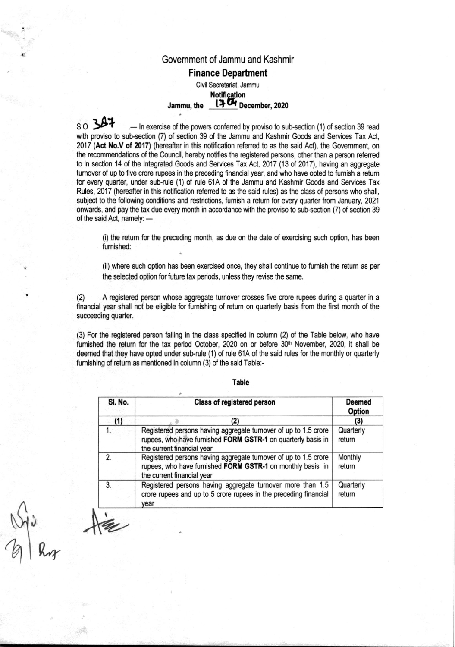## Government of Jammu and Kashmir Finance Department Civil Secretariat, Jammu

# **Notification**

## Jammu, the  $17U$  December, 2020

s.o **347** ... In exercise of the powers conferred by proviso to sub-section (1) of section 39 read with proviso to sub-section (7) of section 39 of the Jammu and Kashmir Goods and Services Tax Act, 2017 (Act No.V of 2017) (hereafter in this notification referred to as the said Act), the Government, on the recommendations of the Council, hereby notifies the registered persons, other than a person referred to in section 14 of the Integrated Goods and Services Tax Act, 2017 (13 of 2017), having an aggregate turnover of up to five crore rupees in the preceding financial year, and who have opted to furnish a return for every quarter, under sub-rule (1) of rule 61A of the Jammu and Kashmir Goods and Services Tax Rules, 2017 (hereafter in this notification referred to as the said rules) as the class of persons who shall, subject to the following conditions and restrictions, furnish a return for every quarter from January, 2021 onwards, and pay the tax due every month in accordance with the proviso to sub-section (7) of section 39 of the said Act, namely:  $-$ 

(i) the retum for the preceding month, as due on the date of exercising such option, has been furnished:

(ii) where such option has been exercised once, they shall continue to furnish the retum as per the selected option for future tax periods, unless they revise the same.

(2) A registered person whose aggregate turnover crosses five crore rupees during a quarter in a financial year shall not be eligible for furnishing of retum on quarterly basis from the first month of the succeeding quarter.

(3) For the registered person falling in the class specified in column (2) of the Table below, who have furnished the return for the tax period October, 2020 on or before 30<sup>th</sup> November, 2020, it shall be deemed that they have opted under sub-rule (1) of rule 61A of the said rules for the monthly or quarterly furnishing of return as mentioned in column (3) of the said Table:-

| SI. No.        | Class of registered person                                                                                                                                    | <b>Deemed</b><br>Option |
|----------------|---------------------------------------------------------------------------------------------------------------------------------------------------------------|-------------------------|
| (1)            |                                                                                                                                                               | (3)                     |
| 1.             | Registered persons having aggregate turnover of up to 1.5 crore<br>rupees, who have furnished FORM GSTR-1 on quarterly basis in<br>the current financial year | Quarterly<br>return     |
| $\overline{2}$ | Registered persons having aggregate turnover of up to 1.5 crore<br>rupees, who have furnished FORM GSTR-1 on monthly basis in<br>the current financial year   | Monthly<br>return       |
| 3.             | Registered persons having aggregate turnover more than 1.5<br>crore rupees and up to 5 crore rupees in the preceding financial<br>year                        | Quarterly<br>return     |

Table